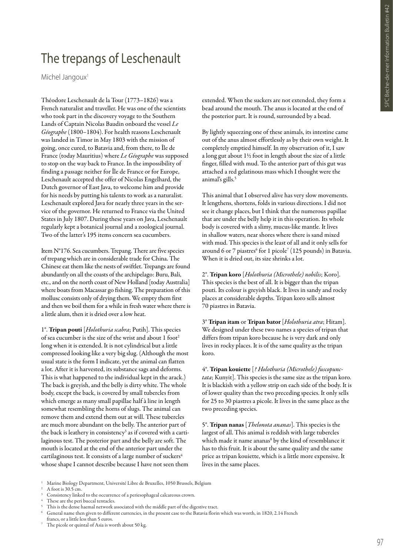## The trepangs of Leschenault

Michel Jangoux<sup>1</sup>

Théodore Leschenault de la Tour (1773–1826) was a French naturalist and traveller. He was one of the scientists who took part in the discovery voyage to the Southern Lands of Captain Nicolas Baudin onboard the vessel *Le Géographe* (1800–1804). For health reasons Leschenault was landed in Timor in May 1803 with the mission of going, once cured, to Batavia and, from there, to Île de France (today Mauritius) where *Le Géographe* was supposed to stop on the way back to France. In the impossibility of finding a passage neither for Île de France or for Europe, Leschenault accepted the offer of Nicolas Engelhard, the Dutch governor of East Java, to welcome him and provide for his needs by putting his talents to work as a naturalist. Leschenault explored Java for nearly three years in the service of the governor. He returned to France via the United States in July 1807. During these years on Java, Leschenault regularly kept a botanical journal and a zoological journal. Two of the latter's 195 items concern sea cucumbers.

Item N°176. Sea cucumbers. Trepang. There are five species of trepang which are in considerable trade for China. The Chinese eat them like the nests of swiftlet. Trepangs are found abundantly on all the coasts of the archipelago: Buru, Bali, etc., and on the north coast of New Holland [today Australia] where boats from Macassar go fishing. The preparation of this mollusc consists only of drying them. We empty them first and then we boil them for a while in fresh water where there is a little alum, then it is dried over a low heat.

1°. Tripan pouti [*Holothuria scabra*; Putih]. This species of sea cucumber is the size of the wrist and about 1 foot<sup>2</sup> long when it is extended. It is not cylindrical but a little compressed looking like a very big slug. (Although the most usual state is the form I indicate, yet the animal can flatten a lot. After it is harvested, its substance sags and deforms. This is what happened to the individual kept in the arack.) The back is greyish, and the belly is dirty white. The whole body, except the back, is covered by small tubercles from which emerge as many small papillae half à line in length somewhat resembling the horns of slugs. The animal can remove them and extend them out at will. These tubercles are much more abundant on the belly. The anterior part of the back is leathery in consistency<sup>3</sup> as if covered with a cartilaginous test. The posterior part and the belly are soft. The mouth is located at the end of the anterior part under the cartilaginous test. It consists of a large number of suckers<sup>4</sup> whose shape I cannot describe because I have not seen them

extended. When the suckers are not extended, they form a bead around the mouth. The anus is located at the end of the posterior part. It is round, surrounded by a bead.

By lightly squeezing one of these animals, its intestine came out of the anus almost effortlessly as by their own weight. It completely emptied himself. In my observation of it, I saw a long gut about 1½ foot in length about the size of a little finger, filled with mud. To the anterior part of this gut was attached a red gelatinous mass which I thought were the animal's gills.<sup>5</sup>

This animal that I observed alive has very slow movements. It lengthens, shortens, folds in various directions. I did not see it change places, but I think that the numerous papillae that are under the belly help it in this operation. Its whole body is covered with a slimy, mucus-like mantle. It lives in shallow waters, near shores where there is sand mixed with mud. This species is the least of all and it only sells for around 6 or 7 piastres<sup>6</sup> for 1 picole<sup>7</sup> (125 pounds) in Batavia. When it is dried out, its size shrinks a lot.

2°. Tripan koro [*Holothuria (Microthele) nobilis*; Koro]. This species is the best of all. It is bigger than the tripan pouti. Its colour is greyish black. It lives in sandy and rocky places at considerable depths. Tripan koro sells almost 70 piastres in Batavia.

3° Tripan itam or Tripan bator [*Holothuria atra*; Hitam]. We designed under these two names a species of tripan that differs from tripan koro because he is very dark and only lives in rocky places. It is of the same quality as the tripan koro.

4°. Tripan kouiette [*? Holothuria (Microthele) fuscopunctata*; Kunyit]. This species is the same size as the tripan koro. It is blackish with a yellow strip on each side of the body. It is of lower quality than the two preceding species. It only sells for 25 to 30 piastres a picole. It lives in the same place as the two preceding species.

5°. Tripan nanas [*Thelonota ananas*]. This species is the largest of all. This animal is reddish with large tubercles which made it name ananas<sup>8</sup> by the kind of resemblance it has to this fruit. It is about the same quality and the same price as tripan kouiette, which is a little more expensive. It lives in the same places.

A foot is  $30.5 \text{ cm}$ .

The picole or quintal of Asia is worth about 50 kg.

<sup>1</sup> Marine Biology Department, Université Libre de Bruxelles, 1050 Brussels, Belgium

Consistency linked to the occurrence of a periesophageal calcareous crown.

These are the peri buccal tentacles.

This is the dense haemal network associated with the middle part of the digestive tract.

<sup>6</sup> General name then given to different currencies, in the present case to the Batavia florin which was worth, in 1820, 2.14 French francs, or a little less than 5 euros.